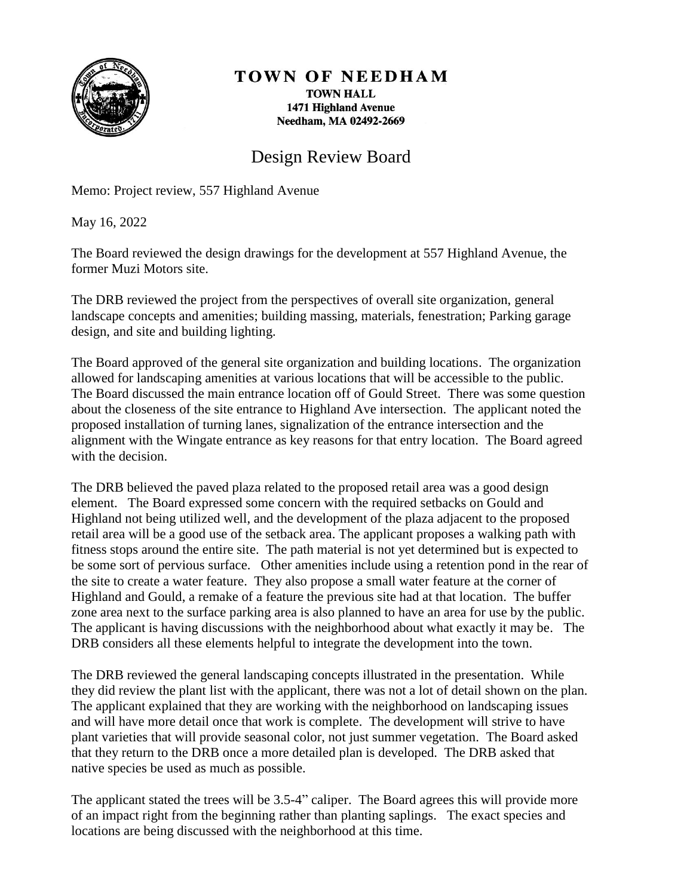

## TOWN OF NEEDHAM

**TOWN HALL** 1471 Highland Avenue Needham, MA 02492-2669

## Design Review Board

Memo: Project review, 557 Highland Avenue

May 16, 2022

The Board reviewed the design drawings for the development at 557 Highland Avenue, the former Muzi Motors site.

The DRB reviewed the project from the perspectives of overall site organization, general landscape concepts and amenities; building massing, materials, fenestration; Parking garage design, and site and building lighting.

The Board approved of the general site organization and building locations. The organization allowed for landscaping amenities at various locations that will be accessible to the public. The Board discussed the main entrance location off of Gould Street. There was some question about the closeness of the site entrance to Highland Ave intersection. The applicant noted the proposed installation of turning lanes, signalization of the entrance intersection and the alignment with the Wingate entrance as key reasons for that entry location. The Board agreed with the decision.

The DRB believed the paved plaza related to the proposed retail area was a good design element. The Board expressed some concern with the required setbacks on Gould and Highland not being utilized well, and the development of the plaza adjacent to the proposed retail area will be a good use of the setback area. The applicant proposes a walking path with fitness stops around the entire site. The path material is not yet determined but is expected to be some sort of pervious surface. Other amenities include using a retention pond in the rear of the site to create a water feature. They also propose a small water feature at the corner of Highland and Gould, a remake of a feature the previous site had at that location. The buffer zone area next to the surface parking area is also planned to have an area for use by the public. The applicant is having discussions with the neighborhood about what exactly it may be. The DRB considers all these elements helpful to integrate the development into the town.

The DRB reviewed the general landscaping concepts illustrated in the presentation. While they did review the plant list with the applicant, there was not a lot of detail shown on the plan. The applicant explained that they are working with the neighborhood on landscaping issues and will have more detail once that work is complete. The development will strive to have plant varieties that will provide seasonal color, not just summer vegetation. The Board asked that they return to the DRB once a more detailed plan is developed. The DRB asked that native species be used as much as possible.

The applicant stated the trees will be 3.5-4" caliper. The Board agrees this will provide more of an impact right from the beginning rather than planting saplings. The exact species and locations are being discussed with the neighborhood at this time.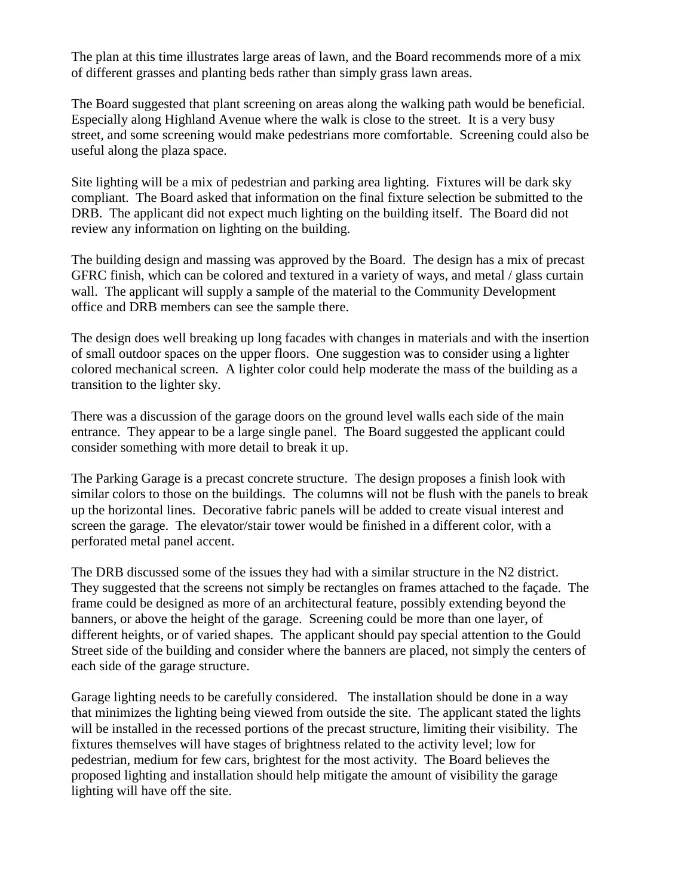The plan at this time illustrates large areas of lawn, and the Board recommends more of a mix of different grasses and planting beds rather than simply grass lawn areas.

The Board suggested that plant screening on areas along the walking path would be beneficial. Especially along Highland Avenue where the walk is close to the street. It is a very busy street, and some screening would make pedestrians more comfortable. Screening could also be useful along the plaza space.

Site lighting will be a mix of pedestrian and parking area lighting. Fixtures will be dark sky compliant. The Board asked that information on the final fixture selection be submitted to the DRB. The applicant did not expect much lighting on the building itself. The Board did not review any information on lighting on the building.

The building design and massing was approved by the Board. The design has a mix of precast GFRC finish, which can be colored and textured in a variety of ways, and metal / glass curtain wall. The applicant will supply a sample of the material to the Community Development office and DRB members can see the sample there.

The design does well breaking up long facades with changes in materials and with the insertion of small outdoor spaces on the upper floors. One suggestion was to consider using a lighter colored mechanical screen. A lighter color could help moderate the mass of the building as a transition to the lighter sky.

There was a discussion of the garage doors on the ground level walls each side of the main entrance. They appear to be a large single panel. The Board suggested the applicant could consider something with more detail to break it up.

The Parking Garage is a precast concrete structure. The design proposes a finish look with similar colors to those on the buildings. The columns will not be flush with the panels to break up the horizontal lines. Decorative fabric panels will be added to create visual interest and screen the garage. The elevator/stair tower would be finished in a different color, with a perforated metal panel accent.

The DRB discussed some of the issues they had with a similar structure in the N2 district. They suggested that the screens not simply be rectangles on frames attached to the façade. The frame could be designed as more of an architectural feature, possibly extending beyond the banners, or above the height of the garage. Screening could be more than one layer, of different heights, or of varied shapes. The applicant should pay special attention to the Gould Street side of the building and consider where the banners are placed, not simply the centers of each side of the garage structure.

Garage lighting needs to be carefully considered. The installation should be done in a way that minimizes the lighting being viewed from outside the site. The applicant stated the lights will be installed in the recessed portions of the precast structure, limiting their visibility. The fixtures themselves will have stages of brightness related to the activity level; low for pedestrian, medium for few cars, brightest for the most activity. The Board believes the proposed lighting and installation should help mitigate the amount of visibility the garage lighting will have off the site.